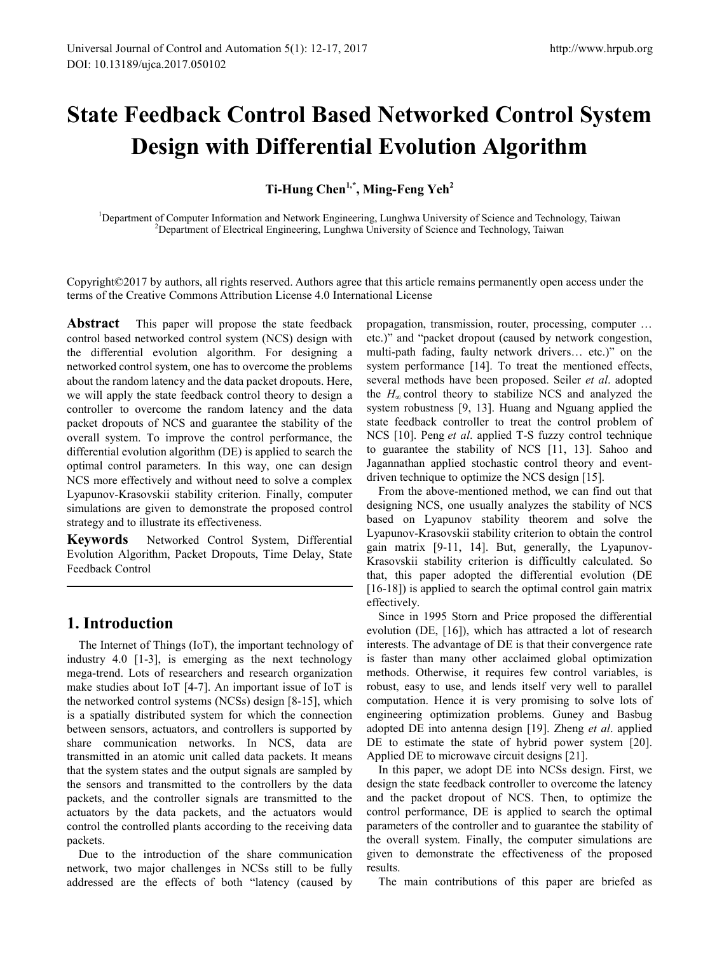# **State Feedback Control Based Networked Control System Design with Differential Evolution Algorithm**

**Ti-Hung Chen1,\*, Ming-Feng Yeh2** 

<sup>1</sup>Department of Computer Information and Network Engineering, Lunghwa University of Science and Technology, Taiwan <sup>2</sup>Department of Electrical Engineering, Lunghwa University of Science and Technology, Taiwan <sup>2</sup>Department of Electrical Engineering, Lunghwa University of Science and Technology, Taiwan

Copyright©2017 by authors, all rights reserved. Authors agree that this article remains permanently open access under the terms of the Creative Commons Attribution License 4.0 International License

**Abstract** This paper will propose the state feedback control based networked control system (NCS) design with the differential evolution algorithm. For designing a networked control system, one has to overcome the problems about the random latency and the data packet dropouts. Here, we will apply the state feedback control theory to design a controller to overcome the random latency and the data packet dropouts of NCS and guarantee the stability of the overall system. To improve the control performance, the differential evolution algorithm (DE) is applied to search the optimal control parameters. In this way, one can design NCS more effectively and without need to solve a complex Lyapunov-Krasovskii stability criterion. Finally, computer simulations are given to demonstrate the proposed control strategy and to illustrate its effectiveness.

**Keywords** Networked Control System, Differential Evolution Algorithm, Packet Dropouts, Time Delay, State Feedback Control

# **1. Introduction**

The Internet of Things (IoT), the important technology of industry 4.0 [1-3], is emerging as the next technology mega-trend. Lots of researchers and research organization make studies about IoT [4-7]. An important issue of IoT is the networked control systems (NCSs) design [8-15], which is a spatially distributed system for which the connection between sensors, actuators, and controllers is supported by share communication networks. In NCS, data are transmitted in an atomic unit called data packets. It means that the system states and the output signals are sampled by the sensors and transmitted to the controllers by the data packets, and the controller signals are transmitted to the actuators by the data packets, and the actuators would control the controlled plants according to the receiving data packets.

Due to the introduction of the share communication network, two major challenges in NCSs still to be fully addressed are the effects of both "latency (caused by

propagation, transmission, router, processing, computer … etc.)" and "packet dropout (caused by network congestion, multi-path fading, faulty network drivers… etc.)" on the system performance [14]. To treat the mentioned effects, several methods have been proposed. Seiler *et al*. adopted the  $H_{\infty}$  control theory to stabilize NCS and analyzed the system robustness [9, 13]. Huang and Nguang applied the state feedback controller to treat the control problem of NCS [10]. Peng *et al*. applied T-S fuzzy control technique to guarantee the stability of NCS [11, 13]. Sahoo and Jagannathan applied stochastic control theory and eventdriven technique to optimize the NCS design [15].

From the above-mentioned method, we can find out that designing NCS, one usually analyzes the stability of NCS based on Lyapunov stability theorem and solve the Lyapunov-Krasovskii stability criterion to obtain the control gain matrix [9-11, 14]. But, generally, the Lyapunov-Krasovskii stability criterion is difficultly calculated. So that, this paper adopted the differential evolution (DE [16-18]) is applied to search the optimal control gain matrix effectively.

Since in 1995 Storn and Price proposed the differential evolution (DE, [16]), which has attracted a lot of research interests. The advantage of DE is that their convergence rate is faster than many other acclaimed global optimization methods. Otherwise, it requires few control variables, is robust, easy to use, and lends itself very well to parallel computation. Hence it is very promising to solve lots of engineering optimization problems. Guney and Basbug adopted DE into antenna design [19]. Zheng *et al*. applied DE to estimate the state of hybrid power system [20]. Applied DE to microwave circuit designs [21].

In this paper, we adopt DE into NCSs design. First, we design the state feedback controller to overcome the latency and the packet dropout of NCS. Then, to optimize the control performance, DE is applied to search the optimal parameters of the controller and to guarantee the stability of the overall system. Finally, the computer simulations are given to demonstrate the effectiveness of the proposed results.

The main contributions of this paper are briefed as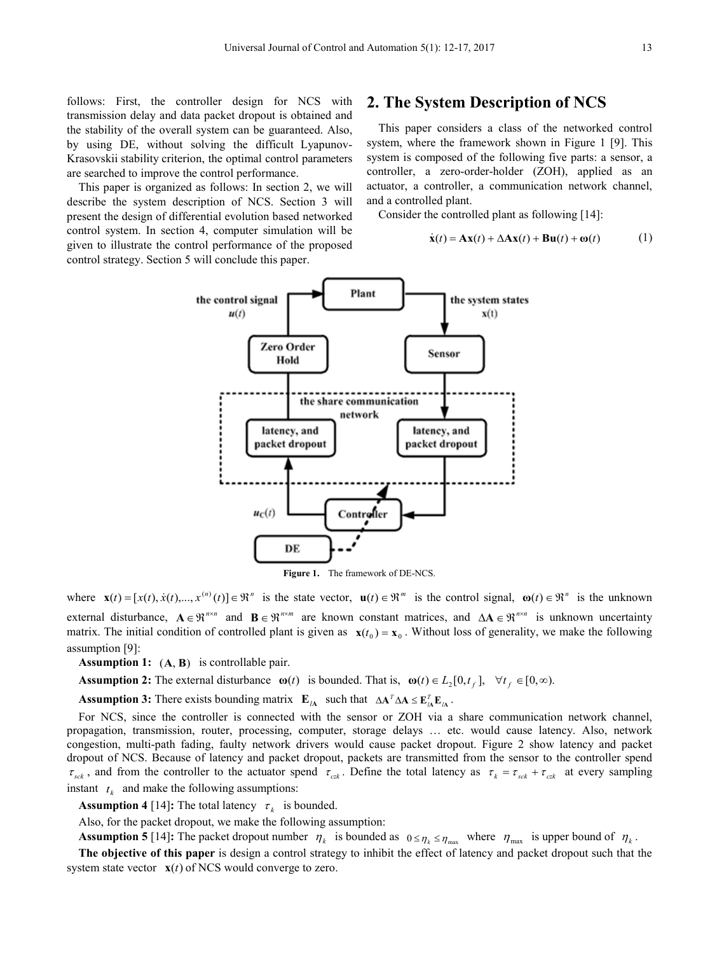follows: First, the controller design for NCS with transmission delay and data packet dropout is obtained and the stability of the overall system can be guaranteed. Also, by using DE, without solving the difficult Lyapunov-Krasovskii stability criterion, the optimal control parameters are searched to improve the control performance.

This paper is organized as follows: In section 2, we will describe the system description of NCS. Section 3 will present the design of differential evolution based networked control system. In section 4, computer simulation will be given to illustrate the control performance of the proposed control strategy. Section 5 will conclude this paper.

## **2. The System Description of NCS**

This paper considers a class of the networked control system, where the framework shown in Figure 1 [9]. This system is composed of the following five parts: a sensor, a controller, a zero-order-holder (ZOH), applied as an actuator, a controller, a communication network channel, and a controlled plant.

Consider the controlled plant as following [14]:

$$
\dot{\mathbf{x}}(t) = \mathbf{A}\mathbf{x}(t) + \Delta \mathbf{A}\mathbf{x}(t) + \mathbf{B}\mathbf{u}(t) + \mathbf{\omega}(t) \tag{1}
$$



where  $\mathbf{x}(t) = [x(t), \dot{x}(t), \dots, x^{(n)}(t)] \in \mathbb{R}^{n}$  is the state vector,  $\mathbf{u}(t) \in \mathbb{R}^{m}$  is the control signal,  $\mathbf{\omega}(t) \in \mathbb{R}^{n}$  is the unknown external disturbance,  $A \in \mathbb{R}^{n \times n}$  and  $B \in \mathbb{R}^{n \times m}$  are known constant matrices, and  $\Delta A \in \mathbb{R}^{n \times n}$  is unknown uncertainty matrix. The initial condition of controlled plant is given as  $\mathbf{x}(t_0) = \mathbf{x}_0$ . Without loss of generality, we make the following assumption [9]:

**Assumption 1:** (**A**, **B**) is controllable pair.

**Assumption 2:** The external disturbance  $\omega(t)$  is bounded. That is,  $\omega(t) \in L_2[0, t_f]$ ,  $\forall t_f \in [0, \infty)$ .

**Assumption 3:** There exists bounding matrix  $\mathbf{E}_{I\mathbf{A}}$  such that  $\Delta \mathbf{A}^T \Delta \mathbf{A} \leq \mathbf{E}_{I\mathbf{A}}^T \mathbf{E}_{I\mathbf{A}}$ .

For NCS, since the controller is connected with the sensor or ZOH via a share communication network channel, propagation, transmission, router, processing, computer, storage delays … etc. would cause latency. Also, network congestion, multi-path fading, faulty network drivers would cause packet dropout. Figure 2 show latency and packet dropout of NCS. Because of latency and packet dropout, packets are transmitted from the sensor to the controller spend  $\tau_{sck}$ , and from the controller to the actuator spend  $\tau_{czk}$ . Define the total latency as  $\tau_k = \tau_{sck} + \tau_{czk}$  at every sampling instant  $t_k$  and make the following assumptions:

**Assumption 4** [14]: The total latency  $\tau_k$  is bounded.

Also, for the packet dropout, we make the following assumption:

**Assumption 5** [14]: The packet dropout number  $\eta_k$  is bounded as  $0 \le \eta_k \le \eta_{\text{max}}$  where  $\eta_{\text{max}}$  is upper bound of  $\eta_k$ .

**The objective of this paper** is design a control strategy to inhibit the effect of latency and packet dropout such that the system state vector  $\mathbf{x}(t)$  of NCS would converge to zero.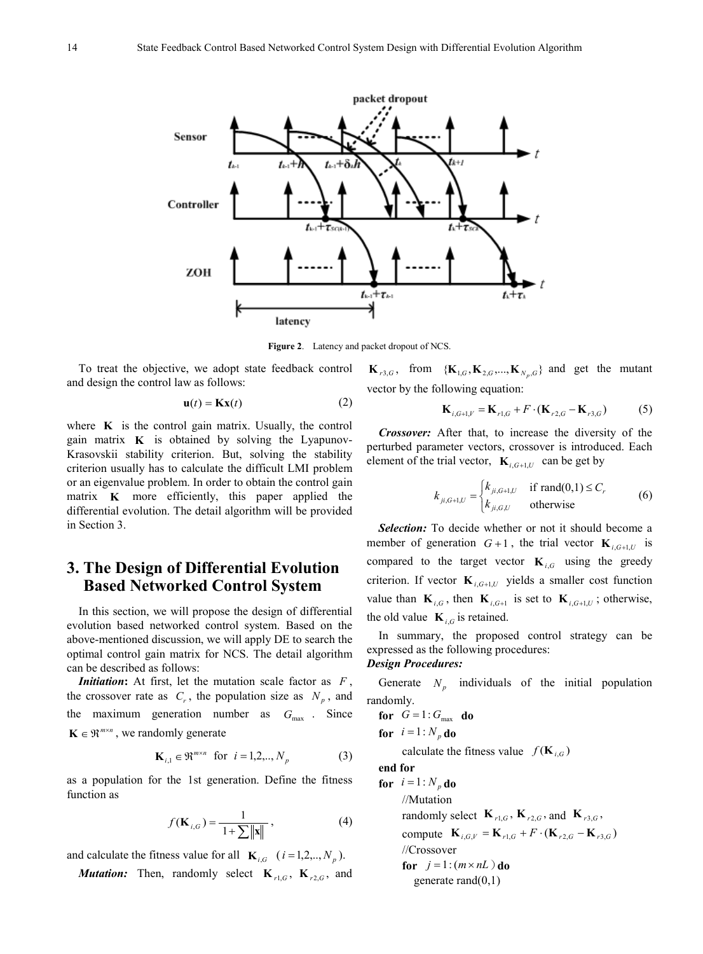

**Figure 2**. Latency and packet dropout of NCS.

To treat the objective, we adopt state feedback control and design the control law as follows:

$$
\mathbf{u}(t) = \mathbf{K}\mathbf{x}(t) \tag{2}
$$

where  $\bf{K}$  is the control gain matrix. Usually, the control gain matrix  $\bf{K}$  is obtained by solving the Lyapunov-Krasovskii stability criterion. But, solving the stability criterion usually has to calculate the difficult LMI problem or an eigenvalue problem. In order to obtain the control gain matrix **K** more efficiently, this paper applied the differential evolution. The detail algorithm will be provided in Section 3.

# **3. The Design of Differential Evolution Based Networked Control System**

In this section, we will propose the design of differential evolution based networked control system. Based on the above-mentioned discussion, we will apply DE to search the optimal control gain matrix for NCS. The detail algorithm can be described as follows:

*Initiation***:** At first, let the mutation scale factor as *F* , the crossover rate as  $C_r$ , the population size as  $N_p$ , and the maximum generation number as  $G_{\text{max}}$ . Since  $\mathbf{K} \in \mathbb{R}^{m \times n}$ , we randomly generate

$$
\mathbf{K}_{i,1} \in \mathfrak{R}^{m \times n} \text{ for } i = 1, 2, ..., N_p \tag{3}
$$

as a population for the 1st generation. Define the fitness function as

$$
f(\mathbf{K}_{i,G}) = \frac{1}{1 + \sum ||\mathbf{x}||},
$$
\n(4)

and calculate the fitness value for all  $\mathbf{K}_{i,G}$  ( $i = 1,2,..,N_p$ ).

*Mutation:* Then, randomly select  $K_{r1,G}$ ,  $K_{r2,G}$ , and

 $\mathbf{K}_{r3,G}$ , from  ${\mathbf\{K}}_{1,G}, {\mathbf{K}}_{2,G},..., {\mathbf{K}}_{N_n,G}$  and get the mutant vector by the following equation:

$$
\mathbf{K}_{i,G+1,V} = \mathbf{K}_{r1,G} + F \cdot (\mathbf{K}_{r2,G} - \mathbf{K}_{r3,G})
$$
 (5)

*Crossover:* After that, to increase the diversity of the perturbed parameter vectors, crossover is introduced. Each element of the trial vector,  $\mathbf{K}_{i,G+1,U}$  can be get by

$$
k_{ji,G+1,U} = \begin{cases} k_{ji,G+1,U} & \text{if } \text{rand}(0,1) \le C_r \\ k_{ji,G,U} & \text{otherwise} \end{cases}
$$
 (6)

*Selection:* To decide whether or not it should become a member of generation  $G+1$ , the trial vector  $\mathbf{K}_{i,G+1,U}$  is compared to the target vector  $\mathbf{K}_{i,G}$  using the greedy criterion. If vector  $\mathbf{K}_{i, G+1, U}$  yields a smaller cost function value than  $\mathbf{K}_{i,G}$ , then  $\mathbf{K}_{i,G+1}$  is set to  $\mathbf{K}_{i,G+1,U}$ ; otherwise, the old value  $\mathbf{K}_{i}$  is retained.

In summary, the proposed control strategy can be expressed as the following procedures:

#### *Design Procedures:*

Generate  $N_p$  individuals of the initial population randomly.

**for**  $G = 1: G_{\text{max}}$  **do for**  $i = 1 : N_p$  **do** 

calculate the fitness value  $f(\mathbf{K}_{i,G})$ 

**end for**

**for**  $i = 1 : N_p$  **do** //Mutation randomly select  $K_{r1 G}$ ,  $K_{r2 G}$ , and  $K_{r3 G}$ , compute  $K_{i,G,V} = K_{r1,G} + F \cdot (K_{r2,G} - K_{r3,G})$ //Crossover **for**  $j = 1$  :  $(m \times nL)$  **do** generate rand $(0,1)$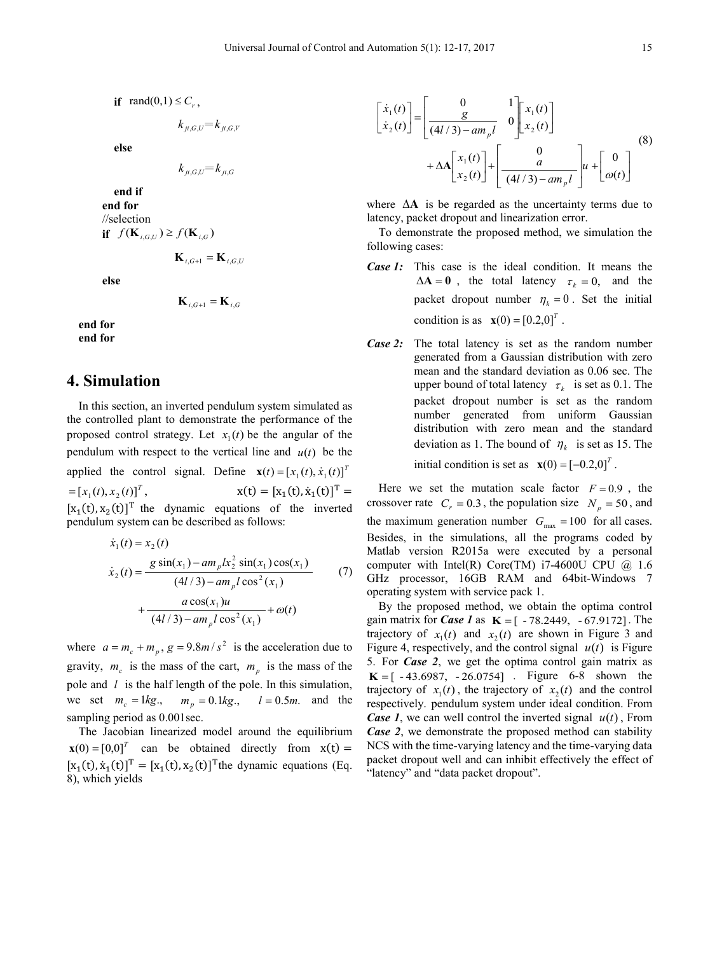**if** rand $(0,1) \leq C_r$ ,

$$
k_{ji,G,U} = k_{ji,G,V}
$$

**else**

$$
k_{ji,G,U} = k_{ji,G}
$$

**end if end for** //selection **if**  $f(\mathbf{K}_{i,G,U}) \geq f(\mathbf{K}_{i,G})$ 

**<sub>i G+1</sub> =**  $**K**$ **<sub>i GH</sub>** 

**else**

$$
\mathbf{K}_{i,G+1} = \mathbf{K}_{i,G}
$$

**end for end for**

## **4. Simulation**

In this section, an inverted pendulum system simulated as the controlled plant to demonstrate the performance of the proposed control strategy. Let  $x_1(t)$  be the angular of the pendulum with respect to the vertical line and  $u(t)$  be the applied the control signal. Define  $\mathbf{x}(t) = [x_1(t), \dot{x}_1(t)]^T$  $\mathbf{x} = [x_1(t), x_2(t)]^T,$   $\mathbf{x}(t) = [x_1(t), \dot{x}]^T$  $[t_1(t)]^T =$  $[x_1(t), x_2(t)]^T$  the dynamic equations of the inverted pendulum system can be described as follows:

$$
\dot{x}_1(t) = x_2(t)
$$
\n
$$
\dot{x}_2(t) = \frac{g \sin(x_1) - am_p k_2^2 \sin(x_1) \cos(x_1)}{(4l/3) - am_p l \cos^2(x_1)}
$$
\n
$$
+ \frac{a \cos(x_1)u}{(4l/3) - am_p l \cos^2(x_1)} + \omega(t)
$$
\n(7)

where  $a = m_c + m_p$ ,  $g = 9.8m/s^2$  is the acceleration due to gravity,  $m_c$  is the mass of the cart,  $m_p$  is the mass of the pole and *l* is the half length of the pole. In this simulation, we set  $m_c = 1kg$ .,  $m_p = 0.1kg$ .,  $l = 0.5m$ . and the sampling period as  $0.001$  sec.

The Jacobian linearized model around the equilibrium  $\mathbf{x}(0) = [0,0]^T$  can be obtained directly from  $\mathbf{x}(t) =$  $[x_1(t), \dot{x}_1(t)]^T = [x_1(t), x_2(t)]^T$  the dynamic equations (Eq. 8), which yields

$$
\begin{bmatrix} \dot{x}_1(t) \\ \dot{x}_2(t) \end{bmatrix} = \begin{bmatrix} 0 & 1 \\ \frac{g}{(4l/3) - am_p l} & 0 \end{bmatrix} \begin{bmatrix} x_1(t) \\ x_2(t) \end{bmatrix} + \Delta A \begin{bmatrix} x_1(t) \\ x_2(t) \end{bmatrix} + \begin{bmatrix} 0 \\ \frac{a}{(4l/3) - am_p l} \end{bmatrix} u + \begin{bmatrix} 0 \\ \omega(t) \end{bmatrix}
$$
 (8)

where ∆**A** is be regarded as the uncertainty terms due to latency, packet dropout and linearization error.

To demonstrate the proposed method, we simulation the following cases:

- *Case 1:* This case is the ideal condition. It means the  $\Delta A = 0$ , the total latency  $\tau_k = 0$ , and the packet dropout number  $\eta_k = 0$ . Set the initial condition is as  $\mathbf{x}(0) = [0.2, 0]^T$ .
- *Case 2:* The total latency is set as the random number generated from a Gaussian distribution with zero mean and the standard deviation as 0.06 sec. The upper bound of total latency  $\tau_k$  is set as 0.1. The packet dropout number is set as the random number generated from uniform Gaussian distribution with zero mean and the standard deviation as 1. The bound of  $\eta_k$  is set as 15. The

initial condition is set as  $\mathbf{x}(0) = [-0.2,0]^T$ .

Here we set the mutation scale factor  $F = 0.9$ , the crossover rate  $C_r = 0.3$ , the population size  $N_p = 50$ , and the maximum generation number  $G_{\text{max}} = 100$  for all cases. Besides, in the simulations, all the programs coded by Matlab version R2015a were executed by a personal computer with Intel(R) Core(TM) i7-4600U CPU  $@$  1.6 GHz processor, 16GB RAM and 64bit-Windows 7 operating system with service pack 1.

By the proposed method, we obtain the optima control gain matrix for *Case 1* as  $K = [-78.2449, -67.9172]$ . The trajectory of  $x_1(t)$  and  $x_2(t)$  are shown in Figure 3 and Figure 4, respectively, and the control signal  $u(t)$  is Figure 5. For *Case 2*, we get the optima control gain matrix as  $K = [-43.6987, -26.0754]$ . Figure 6-8 shown the trajectory of  $x_1(t)$ , the trajectory of  $x_2(t)$  and the control respectively. pendulum system under ideal condition. From *Case 1*, we can well control the inverted signal  $u(t)$ , From *Case 2*, we demonstrate the proposed method can stability NCS with the time-varying latency and the time-varying data packet dropout well and can inhibit effectively the effect of "latency" and "data packet dropout".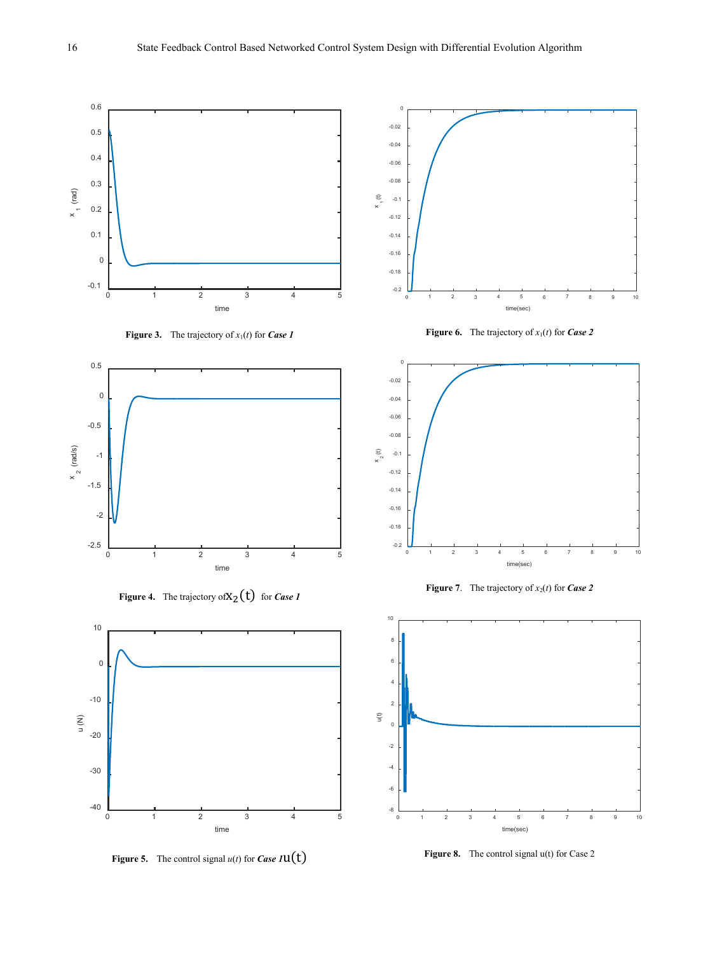

**Figure 5.** The control signal  $u(t)$  for *Case 1***u**(t)

Figure 8. The control signal u(t) for Case 2